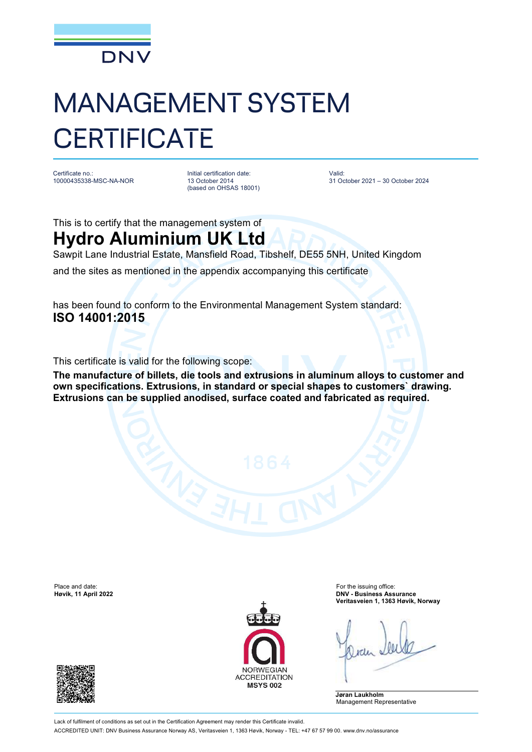

## MANAGEMENT SYSTEM **CERTIFICATE**

Certificate no.: 10000435338-MSC-NA-NOR Initial certification date: 13 October 2014 (based on OHSAS 18001) Valid: 31 October 2021 – 30 October 2024

This is to certify that the management system of

**Hydro Aluminium UK Ltd** Sawpit Lane Industrial Estate, Mansfield Road, Tibshelf, DE55 5NH, United Kingdom

and the sites as mentioned in the appendix accompanying this certificate

has been found to conform to the Environmental Management System standard: **ISO 14001:2015**

This certificate is valid for the following scope:

**The manufacture of billets, die tools and extrusions in aluminum alloys to customer and own specifications. Extrusions, in standard or special shapes to customers` drawing. Extrusions can be supplied anodised, surface coated and fabricated as required.**

Place and date: For the issuing office:<br> **Place and date:** For the issuing office:<br> **Place and date:** For the issuing office:<br> **Place and date:** For the issuing office:





**Høvik, 11 April 2022 DNV - Business Assurance Veritasveien 1, 1363 Høvik, Norway**

**Jøran Laukholm** Management Representative